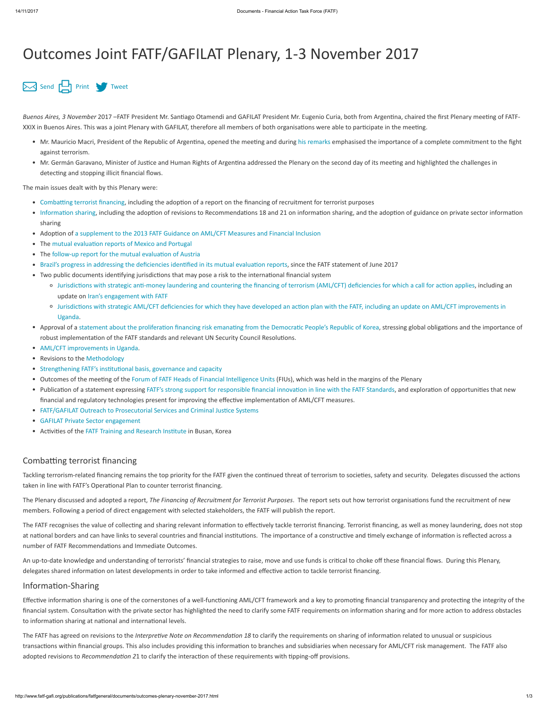# Outcomes Joint FATF/GAFILAT Plenary, 1-3 November 2017

## [Send](mailto:?body=http://www.fatf-gafi.org//publications/fatfgeneral/documents/outcomes-plenary-november-2017.html&subject=Outcomes%20Joint%20FATF/GAFILAT%20Plenary,%201-3%20November%202017) [Print](javascript:$(".printable").printThis({importCSS: true,importStyle: true, printDelay: 555 });) [Tweet](https://twitter.com/intent/tweet?text=Outcomes%20Joint%20FATF/GAFILAT%20Plenary,%201-3%20November%202017&url=http://www.fatf-gafi.org//publications/fatfgeneral/documents/outcomes-plenary-november-2017.html&hashtags=FATF&via=FATFNews)

Buenos Aires, 3 November 2017 –FATF President Mr. Santiago Otamendi and GAFILAT President Mr. Eugenio Curia, both from Argentina, chaired the first Plenary meeting of FATF-XXIX in Buenos Aires. This was a joint Plenary with GAFILAT, therefore all members of both organisations were able to participate in the meeting.

- Mr. Mauricio Macri, President of the Republic of Argentina, opened the meeting and during [his remarks](http://www.fatf-gafi.org/publications/fatfgeneral/documents/opening-speech-plenary-nov-2017.html) emphasised the importance of a complete commitment to the fight against terrorism.
- Mr. Germán Garavano, Minister of Justice and Human Rights of Argentina addressed the Plenary on the second day of its meeting and highlighted the challenges in detecting and stopping illicit financial flows.

The main issues dealt with by this Plenary were:

- Combatting terrorist financing, including the adoption of a report on the financing of recruitment for terrorist purposes
- Information sharing, including the adoption of revisions to Recommendations 18 and 21 on information sharing, and the adoption of guidance on private sector information sharing
- Adoption of a supplement to the 2013 FATF Guidance on AML/CFT Measures and Financial Inclusion
- The mutual evaluation reports of Mexico and Portugal
- The follow-up report for the mutual evaluation of Austria
- Brazil's progress in addressing the deficiencies identified in its mutual evaluation reports, since the FATF statement of June 2017
- Two public documents identifying jurisdictions that may pose a risk to the international financial system
	- o Jurisdictions with strategic anti-money laundering and countering the financing of terrorism (AML/CFT) deficiencies for which a call for action applies, including an update on Iran's engagement with FATF
	- <sup>o</sup> Jurisdictions with strategic AML/CFT deficiencies for which they have developed an action plan with the FATF, including an update on AML/CFT improvements in Uganda.
- Approval of a statement about the proliferation financing risk emanating from the Democratic People's Republic of Korea, stressing global obligations and the importance of robust implementation of the FATF standards and relevant UN Security Council Resolutions.
- AML/CFT improvements in Uganda.
- Revisions to the Methodology
- Strengthening FATF's institutional basis, governance and capacity
- Outcomes of the meeting of the Forum of FATF Heads of Financial Intelligence Units (FIUs), which was held in the margins of the Plenary
- Publication of a statement expressing FATF's strong support for responsible financial innovation in line with the FATF Standards, and exploration of opportunities that new financial and regulatory technologies present for improving the effective implementation of AML/CFT measures.
- FATF/GAFILAT Outreach to Prosecutorial Services and Criminal Justice Systems
- GAFILAT Private Sector engagement
- Activities of the FATF Training and Research Institute in Busan, Korea

#### Combatting terrorist financing

Tackling terrorism-related financing remains the top priority for the FATF given the continued threat of terrorism to societies, safety and security. Delegates discussed the actions taken in line with FATF's Operational Plan to counter terrorist financing.

The Plenary discussed and adopted a report, The Financing of Recruitment for Terrorist Purposes. The report sets out how terrorist organisations fund the recruitment of new members. Following a period of direct engagement with selected stakeholders, the FATF will publish the report.

The FATF recognises the value of collecting and sharing relevant information to effectively tackle terrorist financing. Terrorist financing, as well as money laundering, does not stop

at national borders and can have links to several countries and financial institutions. The importance of a constructive and timely exchange of information is reflected across a number of FATF Recommendations and Immediate Outcomes.

An up-to-date knowledge and understanding of terrorists' financial strategies to raise, move and use funds is critical to choke off these financial flows. During this Plenary, delegates shared information on latest developments in order to take informed and effective action to tackle terrorist financing.

## Information-Sharing

Effective information sharing is one of the cornerstones of a well-functioning AML/CFT framework and a key to promoting financial transparency and protecting the integrity of the financial system. Consultation with the private sector has highlighted the need to clarify some FATF requirements on information sharing and for more action to address obstacles to information sharing at national and international levels.

The FATF has agreed on revisions to the Interpretive Note on Recommendation 18 to clarify the requirements on sharing of information related to unusual or suspicious transactions within financial groups. This also includes providing this information to branches and subsidiaries when necessary for AML/CFT risk management. The FATF also adopted revisions to Recommendation 21 to clarify the interaction of these requirements with tipping-off provisions.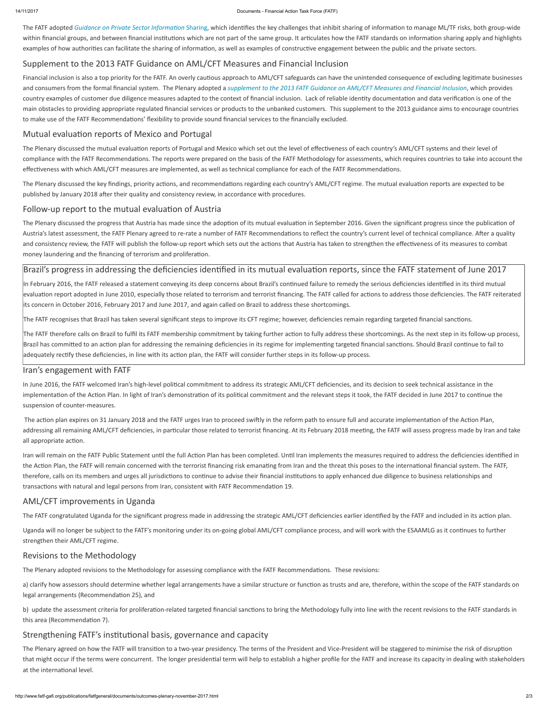#### 14/11/2017 Documents - Financial Action Task Force (FATF)

The FATF adopted Guidance on Private Sector Information Sharing, which identifies the key challenges that inhibit sharing of information to manage ML/TF risks, both group-wide within financial groups, and between financial institutions which are not part of the same group. It articulates how the FATF standards on information sharing apply and highlights examples of how authorities can facilitate the sharing of information, as well as examples of constructive engagement between the public and the private sectors.

## Supplement to the 2013 FATF Guidance on AML/CFT Measures and Financial Inclusion

Financial inclusion is also a top priority for the FATF. An overly cautious approach to AML/CFT safeguards can have the unintended consequence of excluding legitimate businesses and consumers from the formal financial system. The Plenary adopted a [supplement to the 2013 FATF Guidance on AML/CFT Measures and Financial Inclusion](http://www.fatf-gafi.org/publications/financialinclusion/documents/financial-inclusion-cdd-2017.html), which provides country examples of customer due diligence measures adapted to the context of financial inclusion. Lack of reliable identity documentation and data verification is one of the main obstacles to providing appropriate regulated financial services or products to the unbanked customers. This supplement to the 2013 guidance aims to encourage countries to make use of the FATF Recommendations' flexibility to provide sound financial services to the financially excluded.

## Mutual evaluation reports of Mexico and Portugal

The Plenary discussed the mutual evaluation reports of Portugal and Mexico which set out the level of effectiveness of each country's AML/CFT systems and their level of compliance with the FATF Recommendations. The reports were prepared on the basis of the FATF Methodology for assessments, which requires countries to take into account the effectiveness with which AML/CFT measures are implemented, as well as technical compliance for each of the FATF Recommendations.

The Plenary discussed the key findings, priority actions, and recommendations regarding each country's AML/CFT regime. The mutual evaluation reports are expected to be published by January 2018 after their quality and consistency review, in accordance with procedures.

## Follow-up report to the mutual evaluation of Austria

The Plenary discussed the progress that Austria has made since the adoption of its mutual evaluation in September 2016. Given the significant progress since the publication of Austria's latest assessment, the FATF Plenary agreed to re-rate a number of FATF Recommendations to reflect the country's current level of technical compliance. After a quality and consistency review, the FATF will publish the follow-up report which sets out the actions that Austria has taken to strengthen the effectiveness of its measures to combat money laundering and the financing of terrorism and proliferation.

## Brazil's progress in addressing the deficiencies identified in its mutual evaluation reports, since the FATF statement of June 2017

In February 2016, the FATF released a statement conveying its deep concerns about Brazil's continued failure to remedy the serious deficiencies identified in its third mutual evaluation report adopted in June 2010, especially those related to terrorism and terrorist financing. The FATF called for actions to address those deficiencies. The FATF reiterated its concern in October 2016, February 2017 and June 2017, and again called on Brazil to address these shortcomings.

The FATF recognises that Brazil has taken several significant steps to improve its CFT regime; however, deficiencies remain regarding targeted financial sanctions.

The FATF therefore calls on Brazil to fulfil its FATF membership commitment by taking further action to fully address these shortcomings. As the next step in its follow-up process, Brazil has committed to an action plan for addressing the remaining deficiencies in its regime for implementing targeted financial sanctions. Should Brazil continue to fail to adequately rectify these deficiencies, in line with its action plan, the FATF will consider further steps in its follow-up process.

In June 2016, the FATF welcomed Iran's high-level political commitment to address its strategic AML/CFT deficiencies, and its decision to seek technical assistance in the implementation of the Action Plan. In light of Iran's demonstration of its political commitment and the relevant steps it took, the FATF decided in June 2017 to continue the suspension of counter-measures.

The action plan expires on 31 January 2018 and the FATF urges Iran to proceed swiftly in the reform path to ensure full and accurate implementation of the Action Plan, addressing all remaining AML/CFT deficiencies, in particular those related to terrorist financing. At its February 2018 meeting, the FATF will assess progress made by Iran and take all appropriate action.

Iran will remain on the FATF Public Statement until the full Action Plan has been completed. Until Iran implements the measures required to address the deficiencies identified in the Action Plan, the FATF will remain concerned with the terrorist financing risk emanating from Iran and the threat this poses to the international financial system. The FATF, therefore, calls on its members and urges all jurisdictions to continue to advise their financial institutions to apply enhanced due diligence to business relationships and transactions with natural and legal persons from Iran, consistent with FATF Recommendation 19.

Uganda will no longer be subject to the FATF's monitoring under its on-going global AML/CFT compliance process, and will work with the ESAAMLG as it continues to further strengthen their AML/CFT regime.

#### Iran's engagement with FATF

## AML/CFT improvements in Uganda

The FATF congratulated Uganda for the significant progress made in addressing the strategic AML/CFT deficiencies earlier identified by the FATF and included in its action plan.

## Revisions to the Methodology

The Plenary adopted revisions to the Methodology for assessing compliance with the FATF Recommendations. These revisions:

a) clarify how assessors should determine whether legal arrangements have a similar structure or function as trusts and are, therefore, within the scope of the FATF standards on legal arrangements (Recommendation 25), and

b) update the assessment criteria for proliferation-related targeted financial sanctions to bring the Methodology fully into line with the recent revisions to the FATF standards in this area (Recommendation 7).

## Strengthening FATF's institutional basis, governance and capacity

The Plenary agreed on how the FATF will transition to a two-year presidency. The terms of the President and Vice-President will be staggered to minimise the risk of disruption that might occur if the terms were concurrent. The longer presidential term will help to establish a higher profile for the FATF and increase its capacity in dealing with stakeholders at the international level.